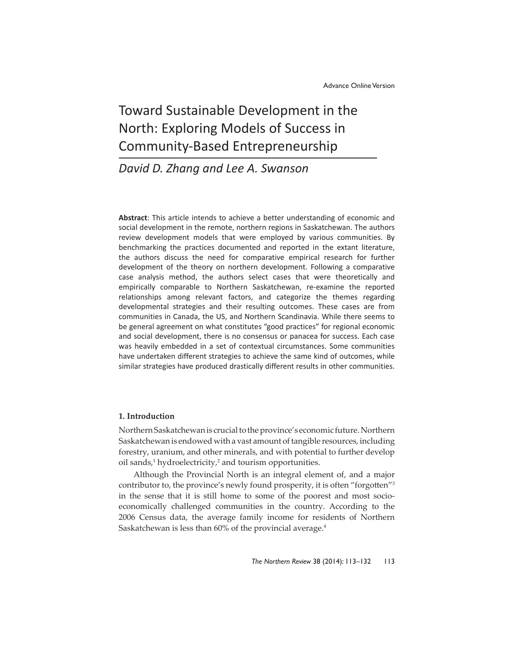# Toward Sustainable Development in the North: Exploring Models of Success in Community-Based Entrepreneurship

# *David D. Zhang and Lee A. Swanson*

**Abstract**: This article intends to achieve a better understanding of economic and social development in the remote, northern regions in Saskatchewan. The authors review development models that were employed by various communities. By benchmarking the practices documented and reported in the extant literature, the authors discuss the need for comparative empirical research for further development of the theory on northern development. Following a comparative case analysis method, the authors select cases that were theoretically and empirically comparable to Northern Saskatchewan, re-examine the reported relationships among relevant factors, and categorize the themes regarding developmental strategies and their resulting outcomes. These cases are from communities in Canada, the US, and Northern Scandinavia. While there seems to be general agreement on what constitutes "good practices" for regional economic and social development, there is no consensus or panacea for success. Each case was heavily embedded in a set of contextual circumstances. Some communities have undertaken different strategies to achieve the same kind of outcomes, while similar strategies have produced drastically different results in other communities.

# **1. Introduction**

Northern Saskatchewan is crucial to the province's economic future. Northern Saskatchewan is endowed with a vast amount of tangible resources, including forestry, uranium, and other minerals, and with potential to further develop oil sands, $^1$  hydroelectricity, $^2$  and tourism opportunities.

Although the Provincial North is an integral element of, and a major contributor to, the province's newly found prosperity, it is often "forgotten"<sup>3</sup> in the sense that it is still home to some of the poorest and most socioeconomically challenged communities in the country. According to the 2006 Census data, the average family income for residents of Northern Saskatchewan is less than 60% of the provincial average.<sup>4</sup>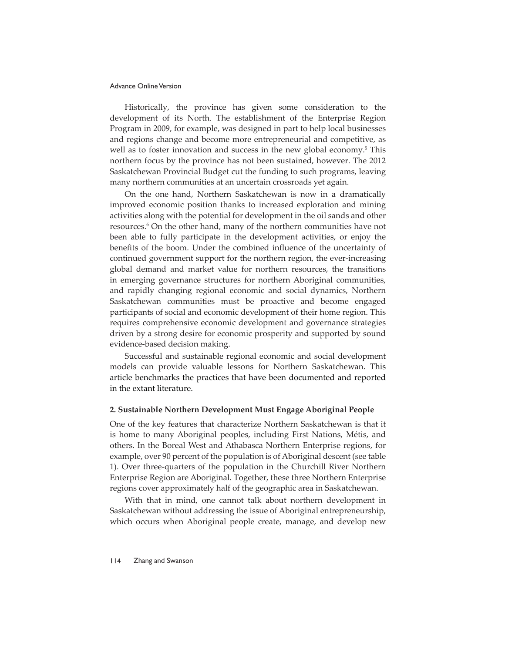Historically, the province has given some consideration to the development of its North. The establishment of the Enterprise Region Program in 2009, for example, was designed in part to help local businesses and regions change and become more entrepreneurial and competitive, as well as to foster innovation and success in the new global economy.<sup>5</sup> This northern focus by the province has not been sustained, however. The 2012 Saskatchewan Provincial Budget cut the funding to such programs, leaving many northern communities at an uncertain crossroads yet again.

On the one hand, Northern Saskatchewan is now in a dramatically improved economic position thanks to increased exploration and mining activities along with the potential for development in the oil sands and other resources.<sup>6</sup> On the other hand, many of the northern communities have not been able to fully participate in the development activities, or enjoy the benefits of the boom. Under the combined influence of the uncertainty of continued government support for the northern region, the ever-increasing global demand and market value for northern resources, the transitions in emerging governance structures for northern Aboriginal communities, and rapidly changing regional economic and social dynamics, Northern Saskatchewan communities must be proactive and become engaged participants of social and economic development of their home region. This requires comprehensive economic development and governance strategies driven by a strong desire for economic prosperity and supported by sound evidence-based decision making.

Successful and sustainable regional economic and social development models can provide valuable lessons for Northern Saskatchewan. This article benchmarks the practices that have been documented and reported in the extant literature.

# **2. Sustainable Northern Development Must Engage Aboriginal People**

One of the key features that characterize Northern Saskatchewan is that it is home to many Aboriginal peoples, including First Nations, Métis, and others. In the Boreal West and Athabasca Northern Enterprise regions, for example, over 90 percent of the population is of Aboriginal descent (see table 1). Over three-quarters of the population in the Churchill River Northern Enterprise Region are Aboriginal. Together, these three Northern Enterprise regions cover approximately half of the geographic area in Saskatchewan.

With that in mind, one cannot talk about northern development in Saskatchewan without addressing the issue of Aboriginal entrepreneurship, which occurs when Aboriginal people create, manage, and develop new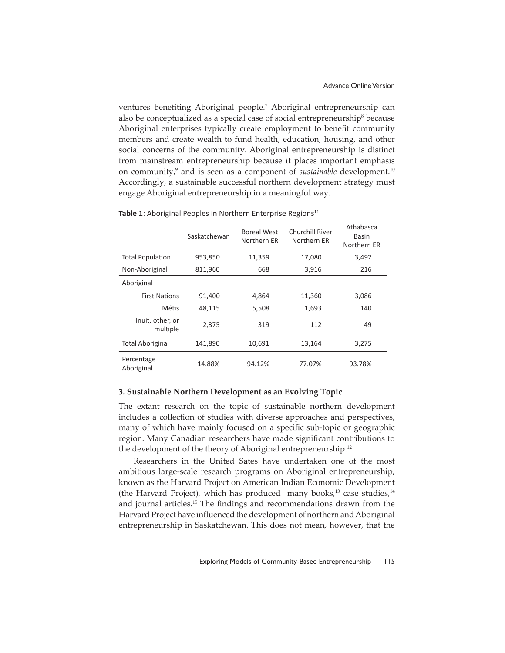ventures benefiting Aboriginal people.<sup>7</sup> Aboriginal entrepreneurship can also be conceptualized as a special case of social entrepreneurship $^8$  because Aboriginal enterprises typically create employment to benefit community members and create wealth to fund health, education, housing, and other social concerns of the community. Aboriginal entrepreneurship is distinct from mainstream entrepreneurship because it places important emphasis on community,<sup>9</sup> and is seen as a component of *sustainable* development.<sup>10</sup> Accordingly, a sustainable successful northern development strategy must engage Aboriginal entrepreneurship in a meaningful way.

|                              | Saskatchewan | <b>Boreal West</b><br>Northern ER | Churchill River<br>Northern ER | Athabasca<br>Basin<br>Northern ER |
|------------------------------|--------------|-----------------------------------|--------------------------------|-----------------------------------|
| <b>Total Population</b>      | 953,850      | 11,359                            | 17,080                         | 3,492                             |
| Non-Aboriginal               | 811,960      | 668                               | 3,916                          | 216                               |
| Aboriginal                   |              |                                   |                                |                                   |
| <b>First Nations</b>         | 91,400       | 4,864                             | 11,360                         | 3,086                             |
| Métis                        | 48,115       | 5,508                             | 1,693                          | 140                               |
| Inuit, other, or<br>multiple | 2,375        | 319                               | 112                            | 49                                |
| <b>Total Aboriginal</b>      | 141,890      | 10,691                            | 13,164                         | 3,275                             |
| Percentage<br>Aboriginal     | 14.88%       | 94.12%                            | 77.07%                         | 93.78%                            |

# Table 1: Aboriginal Peoples in Northern Enterprise Regions<sup>11</sup>

#### **3. Sustainable Northern Development as an Evolving Topic**

The extant research on the topic of sustainable northern development includes a collection of studies with diverse approaches and perspectives, many of which have mainly focused on a specific sub-topic or geographic region. Many Canadian researchers have made significant contributions to the development of the theory of Aboriginal entrepreneurship.12

Researchers in the United Sates have undertaken one of the most ambitious large-scale research programs on Aboriginal entrepreneurship, known as the Harvard Project on American Indian Economic Development (the Harvard Project), which has produced many books, $13$  case studies, $14$ and journal articles.<sup>15</sup> The findings and recommendations drawn from the Harvard Project have influenced the development of northern and Aboriginal entrepreneurship in Saskatchewan. This does not mean, however, that the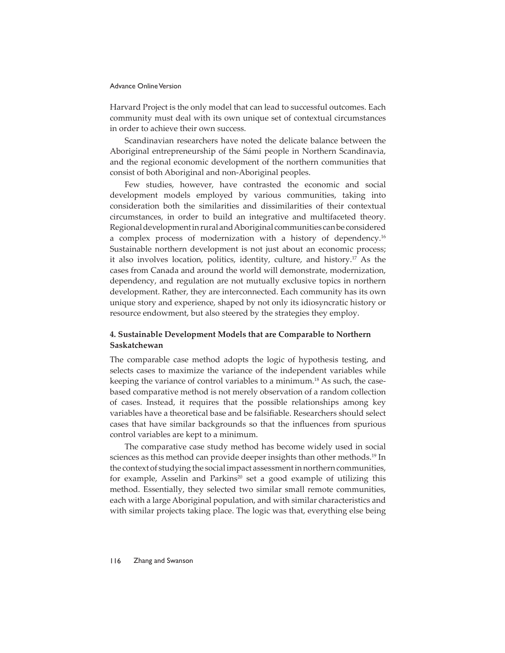Harvard Project is the only model that can lead to successful outcomes. Each community must deal with its own unique set of contextual circumstances in order to achieve their own success.

Scandinavian researchers have noted the delicate balance between the Aboriginal entrepreneurship of the Sámi people in Northern Scandinavia, and the regional economic development of the northern communities that consist of both Aboriginal and non-Aboriginal peoples.

Few studies, however, have contrasted the economic and social development models employed by various communities, taking into consideration both the similarities and dissimilarities of their contextual circumstances, in order to build an integrative and multifaceted theory. Regional development in rural and Aboriginal communities can be considered a complex process of modernization with a history of dependency.16 Sustainable northern development is not just about an economic process; it also involves location, politics, identity, culture, and history.17 As the cases from Canada and around the world will demonstrate, modernization, dependency, and regulation are not mutually exclusive topics in northern development. Rather, they are interconnected. Each community has its own unique story and experience, shaped by not only its idiosyncratic history or resource endowment, but also steered by the strategies they employ.

# **4. Sustainable Development Models that are Comparable to Northern Saskatchewan**

The comparable case method adopts the logic of hypothesis testing, and selects cases to maximize the variance of the independent variables while keeping the variance of control variables to a minimum.18 As such, the casebased comparative method is not merely observation of a random collection of cases. Instead, it requires that the possible relationships among key variables have a theoretical base and be falsifi able. Researchers should select cases that have similar backgrounds so that the influences from spurious control variables are kept to a minimum.

The comparative case study method has become widely used in social sciences as this method can provide deeper insights than other methods.<sup>19</sup> In the context of studying the social impact assessment in northern communities, for example, Asselin and Parkins<sup>20</sup> set a good example of utilizing this method. Essentially, they selected two similar small remote communities, each with a large Aboriginal population, and with similar characteristics and with similar projects taking place. The logic was that, everything else being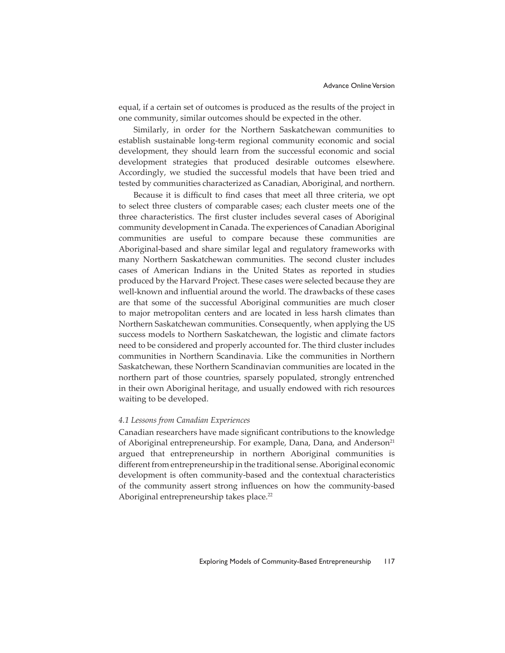equal, if a certain set of outcomes is produced as the results of the project in one community, similar outcomes should be expected in the other.

Similarly, in order for the Northern Saskatchewan communities to establish sustainable long-term regional community economic and social development, they should learn from the successful economic and social development strategies that produced desirable outcomes elsewhere. Accordingly, we studied the successful models that have been tried and tested by communities characterized as Canadian, Aboriginal, and northern.

Because it is difficult to find cases that meet all three criteria, we opt to select three clusters of comparable cases; each cluster meets one of the three characteristics. The first cluster includes several cases of Aboriginal community development in Canada. The experiences of Canadian Aboriginal communities are useful to compare because these communities are Aboriginal-based and share similar legal and regulatory frameworks with many Northern Saskatchewan communities. The second cluster includes cases of American Indians in the United States as reported in studies produced by the Harvard Project. These cases were selected because they are well-known and influential around the world. The drawbacks of these cases are that some of the successful Aboriginal communities are much closer to major metropolitan centers and are located in less harsh climates than Northern Saskatchewan communities. Consequently, when applying the US success models to Northern Saskatchewan, the logistic and climate factors need to be considered and properly accounted for. The third cluster includes communities in Northern Scandinavia. Like the communities in Northern Saskatchewan, these Northern Scandinavian communities are located in the northern part of those countries, sparsely populated, strongly entrenched in their own Aboriginal heritage, and usually endowed with rich resources waiting to be developed.

# *4.1 Lessons from Canadian Experiences*

Canadian researchers have made significant contributions to the knowledge of Aboriginal entrepreneurship. For example, Dana, Dana, and Anderson<sup>21</sup> argued that entrepreneurship in northern Aboriginal communities is different from entrepreneurship in the traditional sense. Aboriginal economic development is often community-based and the contextual characteristics of the community assert strong influences on how the community-based Aboriginal entrepreneurship takes place.<sup>22</sup>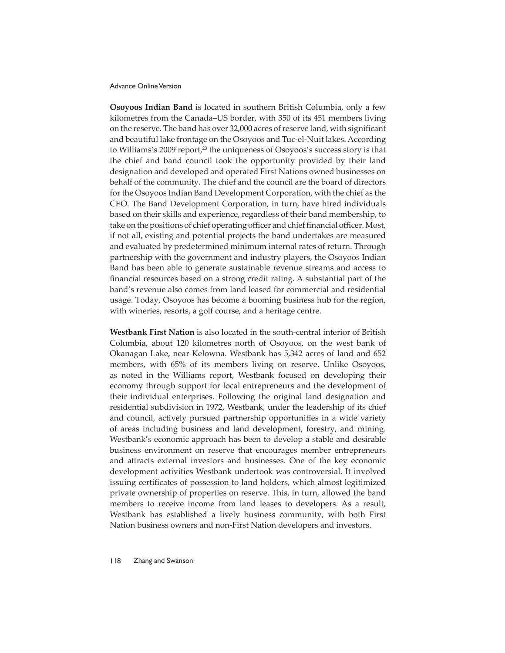**Osoyoos Indian Band** is located in southern British Columbia, only a few kilometres from the Canada–US border, with 350 of its 451 members living on the reserve. The band has over 32,000 acres of reserve land, with significant and beautiful lake frontage on the Osoyoos and Tuc-el-Nuit lakes. According to Williams's 2009 report,<sup>23</sup> the uniqueness of Osoyoos's success story is that the chief and band council took the opportunity provided by their land designation and developed and operated First Nations owned businesses on behalf of the community. The chief and the council are the board of directors for the Osoyoos Indian Band Development Corporation, with the chief as the CEO. The Band Development Corporation, in turn, have hired individuals based on their skills and experience, regardless of their band membership, to take on the positions of chief operating officer and chief financial officer. Most, if not all, existing and potential projects the band undertakes are measured and evaluated by predetermined minimum internal rates of return. Through partnership with the government and industry players, the Osoyoos Indian Band has been able to generate sustainable revenue streams and access to financial resources based on a strong credit rating. A substantial part of the band's revenue also comes from land leased for commercial and residential usage. Today, Osoyoos has become a booming business hub for the region, with wineries, resorts, a golf course, and a heritage centre.

**Westbank First Nation** is also located in the south-central interior of British Columbia, about 120 kilometres north of Osoyoos, on the west bank of Okanagan Lake, near Kelowna. Westbank has 5,342 acres of land and 652 members, with 65% of its members living on reserve. Unlike Osoyoos, as noted in the Williams report, Westbank focused on developing their economy through support for local entrepreneurs and the development of their individual enterprises. Following the original land designation and residential subdivision in 1972, Westbank, under the leadership of its chief and council, actively pursued partnership opportunities in a wide variety of areas including business and land development, forestry, and mining. Westbank's economic approach has been to develop a stable and desirable business environment on reserve that encourages member entrepreneurs and attracts external investors and businesses. One of the key economic development activities Westbank undertook was controversial. It involved issuing certificates of possession to land holders, which almost legitimized private ownership of properties on reserve. This, in turn, allowed the band members to receive income from land leases to developers. As a result, Westbank has established a lively business community, with both First Nation business owners and non-First Nation developers and investors.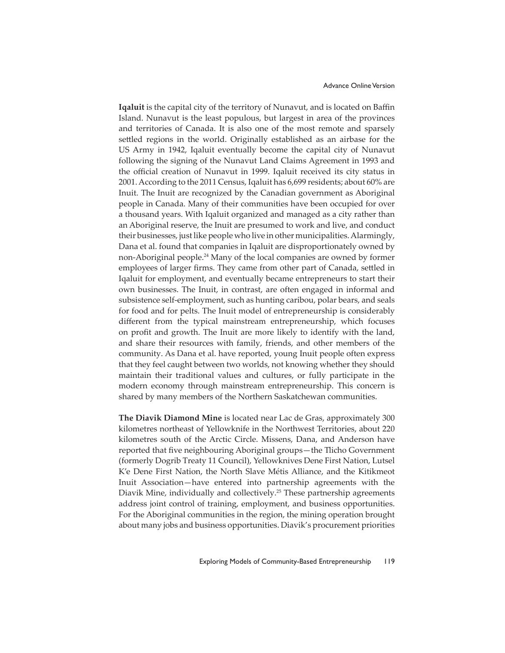**Iqaluit** is the capital city of the territory of Nunavut, and is located on Baffin Island. Nunavut is the least populous, but largest in area of the provinces and territories of Canada. It is also one of the most remote and sparsely settled regions in the world. Originally established as an airbase for the US Army in 1942, Iqaluit eventually become the capital city of Nunavut following the signing of the Nunavut Land Claims Agreement in 1993 and the official creation of Nunavut in 1999. Iqaluit received its city status in 2001. According to the 2011 Census, Iqaluit has 6,699 residents; about 60% are Inuit. The Inuit are recognized by the Canadian government as Aboriginal people in Canada. Many of their communities have been occupied for over a thousand years. With Iqaluit organized and managed as a city rather than an Aboriginal reserve, the Inuit are presumed to work and live, and conduct their businesses, just like people who live in other municipalities. Alarmingly, Dana et al. found that companies in Iqaluit are disproportionately owned by non-Aboriginal people.24 Many of the local companies are owned by former employees of larger firms. They came from other part of Canada, settled in Iqaluit for employment, and eventually became entrepreneurs to start their own businesses. The Inuit, in contrast, are often engaged in informal and subsistence self-employment, such as hunting caribou, polar bears, and seals for food and for pelts. The Inuit model of entrepreneurship is considerably different from the typical mainstream entrepreneurship, which focuses on profit and growth. The Inuit are more likely to identify with the land, and share their resources with family, friends, and other members of the community. As Dana et al. have reported, young Inuit people often express that they feel caught between two worlds, not knowing whether they should maintain their traditional values and cultures, or fully participate in the modern economy through mainstream entrepreneurship. This concern is shared by many members of the Northern Saskatchewan communities.

**The Diavik Diamond Mine** is located near Lac de Gras, approximately 300 kilometres northeast of Yellowknife in the Northwest Territories, about 220 kilometres south of the Arctic Circle. Missens, Dana, and Anderson have reported that five neighbouring Aboriginal groups—the Tlicho Government (formerly Dogrib Treaty 11 Council), Yellowknives Dene First Nation, Lutsel K'e Dene First Nation, the North Slave Métis Alliance, and the Kitikmeot Inuit Association—have entered into partnership agreements with the Diavik Mine, individually and collectively.<sup>25</sup> These partnership agreements address joint control of training, employment, and business opportunities. For the Aboriginal communities in the region, the mining operation brought about many jobs and business opportunities. Diavik's procurement priorities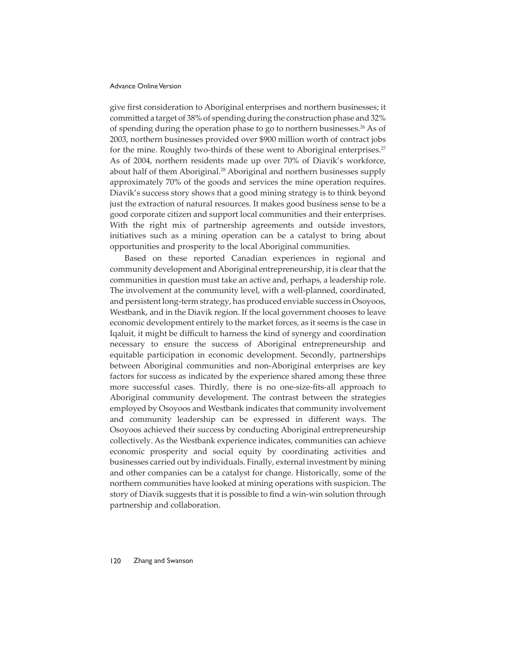give first consideration to Aboriginal enterprises and northern businesses; it committed a target of 38% of spending during the construction phase and 32% of spending during the operation phase to go to northern businesses.26 As of 2003, northern businesses provided over \$900 million worth of contract jobs for the mine. Roughly two-thirds of these went to Aboriginal enterprises.<sup>27</sup> As of 2004, northern residents made up over 70% of Diavik's workforce, about half of them Aboriginal.<sup>28</sup> Aboriginal and northern businesses supply approximately 70% of the goods and services the mine operation requires. Diavik's success story shows that a good mining strategy is to think beyond just the extraction of natural resources. It makes good business sense to be a good corporate citizen and support local communities and their enterprises. With the right mix of partnership agreements and outside investors, initiatives such as a mining operation can be a catalyst to bring about opportunities and prosperity to the local Aboriginal communities.

Based on these reported Canadian experiences in regional and community development and Aboriginal entrepreneurship, it is clear that the communities in question must take an active and, perhaps, a leadership role. The involvement at the community level, with a well-planned, coordinated, and persistent long-term strategy, has produced enviable success in Osoyoos, Westbank, and in the Diavik region. If the local government chooses to leave economic development entirely to the market forces, as it seems is the case in Iqaluit, it might be difficult to harness the kind of synergy and coordination necessary to ensure the success of Aboriginal entrepreneurship and equitable participation in economic development. Secondly, partnerships between Aboriginal communities and non-Aboriginal enterprises are key factors for success as indicated by the experience shared among these three more successful cases. Thirdly, there is no one-size-fits-all approach to Aboriginal community development. The contrast between the strategies employed by Osoyoos and Westbank indicates that community involvement and community leadership can be expressed in different ways. The Osoyoos achieved their success by conducting Aboriginal entrepreneurship collectively. As the Westbank experience indicates, communities can achieve economic prosperity and social equity by coordinating activities and businesses carried out by individuals. Finally, external investment by mining and other companies can be a catalyst for change. Historically, some of the northern communities have looked at mining operations with suspicion. The story of Diavik suggests that it is possible to find a win-win solution through partnership and collaboration.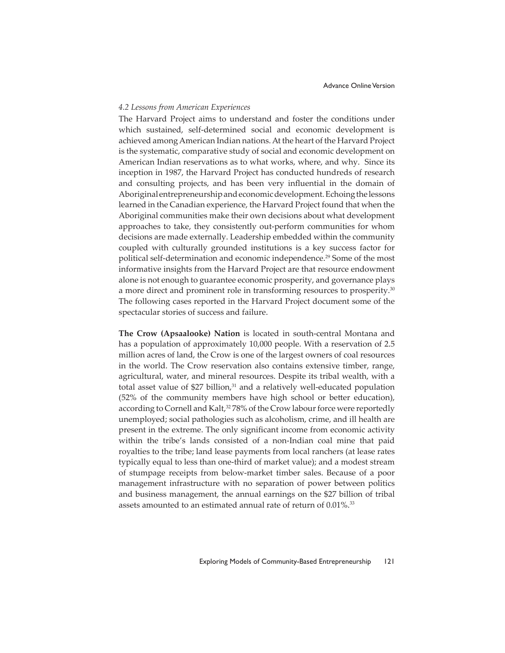# *4.2 Lessons from American Experiences*

The Harvard Project aims to understand and foster the conditions under which sustained, self-determined social and economic development is achieved among American Indian nations. At the heart of the Harvard Project is the systematic, comparative study of social and economic development on American Indian reservations as to what works, where, and why. Since its inception in 1987, the Harvard Project has conducted hundreds of research and consulting projects, and has been very influential in the domain of Aboriginal entrepreneurship and economic development. Echoing the lessons learned in the Canadian experience, the Harvard Project found that when the Aboriginal communities make their own decisions about what development approaches to take, they consistently out-perform communities for whom decisions are made externally. Leadership embedded within the community coupled with culturally grounded institutions is a key success factor for political self-determination and economic independence.29 Some of the most informative insights from the Harvard Project are that resource endowment alone is not enough to guarantee economic prosperity, and governance plays a more direct and prominent role in transforming resources to prosperity.<sup>30</sup> The following cases reported in the Harvard Project document some of the spectacular stories of success and failure.

**The Crow (Apsaalooke) Nation** is located in south-central Montana and has a population of approximately 10,000 people. With a reservation of 2.5 million acres of land, the Crow is one of the largest owners of coal resources in the world. The Crow reservation also contains extensive timber, range, agricultural, water, and mineral resources. Despite its tribal wealth, with a total asset value of  $$27$  billion, $31$  and a relatively well-educated population (52% of the community members have high school or better education), according to Cornell and Kalt,<sup>32</sup> 78% of the Crow labour force were reportedly unemployed; social pathologies such as alcoholism, crime, and ill health are present in the extreme. The only significant income from economic activity within the tribe's lands consisted of a non-Indian coal mine that paid royalties to the tribe; land lease payments from local ranchers (at lease rates typically equal to less than one-third of market value); and a modest stream of stumpage receipts from below-market timber sales. Because of a poor management infrastructure with no separation of power between politics and business management, the annual earnings on the \$27 billion of tribal assets amounted to an estimated annual rate of return of 0.01%.<sup>33</sup>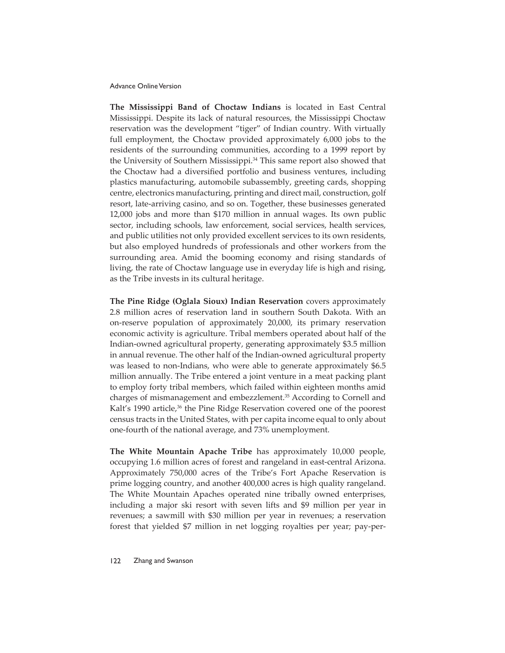**The Mississippi Band of Choctaw Indians** is located in East Central Mississippi. Despite its lack of natural resources, the Mississippi Choctaw reservation was the development "tiger" of Indian country. With virtually full employment, the Choctaw provided approximately 6,000 jobs to the residents of the surrounding communities, according to a 1999 report by the University of Southern Mississippi.34 This same report also showed that the Choctaw had a diversified portfolio and business ventures, including plastics manufacturing, automobile subassembly, greeting cards, shopping centre, electronics manufacturing, printing and direct mail, construction, golf resort, late-arriving casino, and so on. Together, these businesses generated 12,000 jobs and more than \$170 million in annual wages. Its own public sector, including schools, law enforcement, social services, health services, and public utilities not only provided excellent services to its own residents, but also employed hundreds of professionals and other workers from the surrounding area. Amid the booming economy and rising standards of living, the rate of Choctaw language use in everyday life is high and rising, as the Tribe invests in its cultural heritage.

**The Pine Ridge (Oglala Sioux) Indian Reservation** covers approximately 2.8 million acres of reservation land in southern South Dakota. With an on-reserve population of approximately 20,000, its primary reservation economic activity is agriculture. Tribal members operated about half of the Indian-owned agricultural property, generating approximately \$3.5 million in annual revenue. The other half of the Indian-owned agricultural property was leased to non-Indians, who were able to generate approximately \$6.5 million annually. The Tribe entered a joint venture in a meat packing plant to employ forty tribal members, which failed within eighteen months amid charges of mismanagement and embezzlement.<sup>35</sup> According to Cornell and Kalt's 1990 article,<sup>36</sup> the Pine Ridge Reservation covered one of the poorest census tracts in the United States, with per capita income equal to only about one-fourth of the national average, and 73% unemployment.

**The White Mountain Apache Tribe** has approximately 10,000 people, occupying 1.6 million acres of forest and rangeland in east-central Arizona. Approximately 750,000 acres of the Tribe's Fort Apache Reservation is prime logging country, and another 400,000 acres is high quality rangeland. The White Mountain Apaches operated nine tribally owned enterprises, including a major ski resort with seven lifts and \$9 million per year in revenues; a sawmill with \$30 million per year in revenues; a reservation forest that yielded \$7 million in net logging royalties per year; pay-per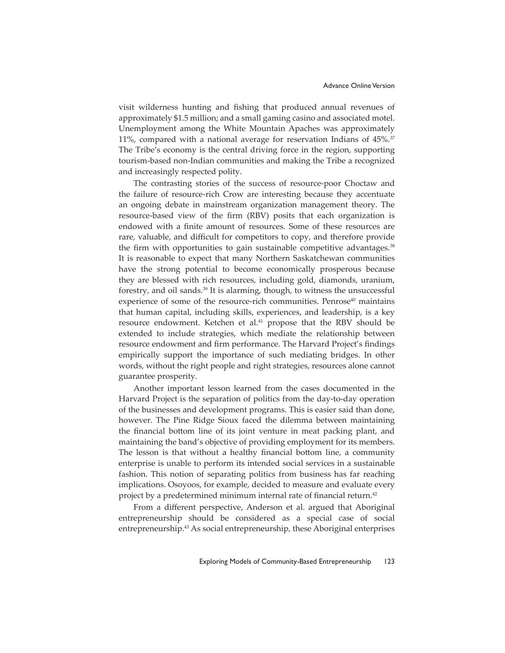visit wilderness hunting and fishing that produced annual revenues of approximately \$1.5 million; and a small gaming casino and associated motel. Unemployment among the White Mountain Apaches was approximately 11%, compared with a national average for reservation Indians of 45%.37 The Tribe's economy is the central driving force in the region, supporting tourism-based non-Indian communities and making the Tribe a recognized and increasingly respected polity.

The contrasting stories of the success of resource-poor Choctaw and the failure of resource-rich Crow are interesting because they accentuate an ongoing debate in mainstream organization management theory. The resource-based view of the firm (RBV) posits that each organization is endowed with a finite amount of resources. Some of these resources are rare, valuable, and difficult for competitors to copy, and therefore provide the firm with opportunities to gain sustainable competitive advantages. $38$ It is reasonable to expect that many Northern Saskatchewan communities have the strong potential to become economically prosperous because they are blessed with rich resources, including gold, diamonds, uranium, forestry, and oil sands.39 It is alarming, though, to witness the unsuccessful experience of some of the resource-rich communities. Penrose<sup>40</sup> maintains that human capital, including skills, experiences, and leadership, is a key resource endowment. Ketchen et al.<sup>41</sup> propose that the RBV should be extended to include strategies, which mediate the relationship between resource endowment and firm performance. The Harvard Project's findings empirically support the importance of such mediating bridges. In other words, without the right people and right strategies, resources alone cannot guarantee prosperity.

Another important lesson learned from the cases documented in the Harvard Project is the separation of politics from the day-to-day operation of the businesses and development programs. This is easier said than done, however. The Pine Ridge Sioux faced the dilemma between maintaining the financial bottom line of its joint venture in meat packing plant, and maintaining the band's objective of providing employment for its members. The lesson is that without a healthy financial bottom line, a community enterprise is unable to perform its intended social services in a sustainable fashion. This notion of separating politics from business has far reaching implications. Osoyoos, for example, decided to measure and evaluate every project by a predetermined minimum internal rate of financial return.<sup>42</sup>

From a different perspective, Anderson et al. argued that Aboriginal entrepreneurship should be considered as a special case of social entrepreneurship.<sup>43</sup> As social entrepreneurship, these Aboriginal enterprises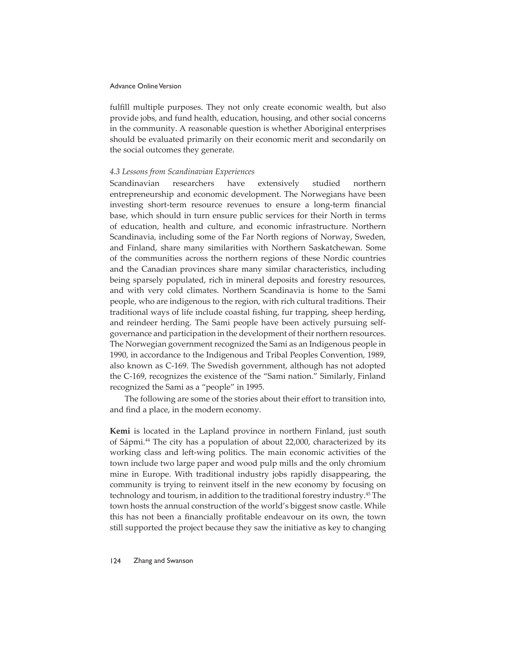fulfill multiple purposes. They not only create economic wealth, but also provide jobs, and fund health, education, housing, and other social concerns in the community. A reasonable question is whether Aboriginal enterprises should be evaluated primarily on their economic merit and secondarily on the social outcomes they generate.

#### *4.3 Lessons from Scandinavian Experiences*

Scandinavian researchers have extensively studied northern entrepreneurship and economic development. The Norwegians have been investing short-term resource revenues to ensure a long-term financial base, which should in turn ensure public services for their North in terms of education, health and culture, and economic infrastructure. Northern Scandinavia, including some of the Far North regions of Norway, Sweden, and Finland, share many similarities with Northern Saskatchewan. Some of the communities across the northern regions of these Nordic countries and the Canadian provinces share many similar characteristics, including being sparsely populated, rich in mineral deposits and forestry resources, and with very cold climates. Northern Scandinavia is home to the Sami people, who are indigenous to the region, with rich cultural traditions. Their traditional ways of life include coastal fishing, fur trapping, sheep herding, and reindeer herding. The Sami people have been actively pursuing selfgovernance and participation in the development of their northern resources. The Norwegian government recognized the Sami as an Indigenous people in 1990, in accordance to the Indigenous and Tribal Peoples Convention, 1989, also known as C-169. The Swedish government, although has not adopted the C-169, recognizes the existence of the "Sami nation." Similarly, Finland recognized the Sami as a "people" in 1995.

The following are some of the stories about their effort to transition into, and find a place, in the modern economy.

**Kemi** is located in the Lapland province in northern Finland, just south of Sápmi.44 The city has a population of about 22,000, characterized by its working class and left-wing politics. The main economic activities of the town include two large paper and wood pulp mills and the only chromium mine in Europe. With traditional industry jobs rapidly disappearing, the community is trying to reinvent itself in the new economy by focusing on technology and tourism, in addition to the traditional forestry industry.45 The town hosts the annual construction of the world's biggest snow castle. While this has not been a financially profitable endeavour on its own, the town still supported the project because they saw the initiative as key to changing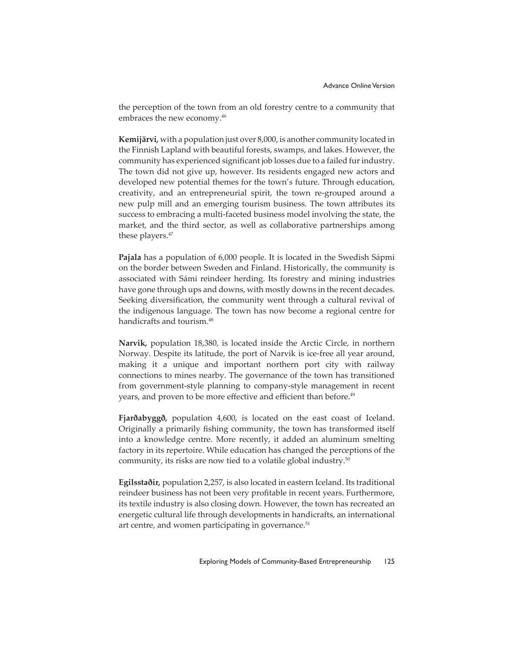the perception of the town from an old forestry centre to a community that embraces the new economy.<sup>46</sup>

**Kemijärvi***,* with a population just over 8,000, is another community located in the Finnish Lapland with beautiful forests, swamps, and lakes. However, the community has experienced significant job losses due to a failed fur industry. The town did not give up, however. Its residents engaged new actors and developed new potential themes for the town's future. Through education, creativity, and an entrepreneurial spirit, the town re-grouped around a new pulp mill and an emerging tourism business. The town attributes its success to embracing a multi-faceted business model involving the state, the market, and the third sector, as well as collaborative partnerships among these players.<sup>47</sup>

**Pajala** has a population of 6,000 people. It is located in the Swedish Sápmi on the border between Sweden and Finland. Historically, the community is associated with Sámi reindeer herding. Its forestry and mining industries have gone through ups and downs, with mostly downs in the recent decades. Seeking diversification, the community went through a cultural revival of the indigenous language. The town has now become a regional centre for handicrafts and tourism.<sup>48</sup>

**Narvik***,* population 18,380, is located inside the Arctic Circle, in northern Norway. Despite its latitude, the port of Narvik is ice-free all year around, making it a unique and important northern port city with railway connections to mines nearby. The governance of the town has transitioned from government-style planning to company-style management in recent years, and proven to be more effective and efficient than before.<sup>49</sup>

**Fjarðabyggð***,* population 4,600, is located on the east coast of Iceland. Originally a primarily fishing community, the town has transformed itself into a knowledge centre. More recently, it added an aluminum smelting factory in its repertoire. While education has changed the perceptions of the community, its risks are now tied to a volatile global industry.50

**Egilsstaðir***,* population 2,257, is also located in eastern Iceland. Its traditional reindeer business has not been very profitable in recent years. Furthermore, its textile industry is also closing down. However, the town has recreated an energetic cultural life through developments in handicrafts, an international art centre, and women participating in governance.<sup>51</sup>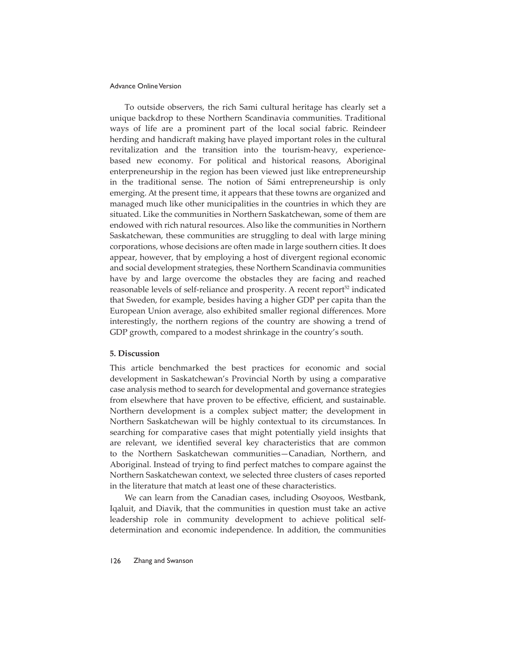To outside observers, the rich Sami cultural heritage has clearly set a unique backdrop to these Northern Scandinavia communities. Traditional ways of life are a prominent part of the local social fabric. Reindeer herding and handicraft making have played important roles in the cultural revitalization and the transition into the tourism-heavy, experiencebased new economy. For political and historical reasons, Aboriginal enterpreneurship in the region has been viewed just like entrepreneurship in the traditional sense. The notion of Sámi entrepreneurship is only emerging. At the present time, it appears that these towns are organized and managed much like other municipalities in the countries in which they are situated. Like the communities in Northern Saskatchewan, some of them are endowed with rich natural resources. Also like the communities in Northern Saskatchewan, these communities are struggling to deal with large mining corporations, whose decisions are often made in large southern cities. It does appear, however, that by employing a host of divergent regional economic and social development strategies, these Northern Scandinavia communities have by and large overcome the obstacles they are facing and reached reasonable levels of self-reliance and prosperity. A recent report<sup>52</sup> indicated that Sweden, for example, besides having a higher GDP per capita than the European Union average, also exhibited smaller regional differences. More interestingly, the northern regions of the country are showing a trend of GDP growth, compared to a modest shrinkage in the country's south.

# **5. Discussion**

This article benchmarked the best practices for economic and social development in Saskatchewan's Provincial North by using a comparative case analysis method to search for developmental and governance strategies from elsewhere that have proven to be effective, efficient, and sustainable. Northern development is a complex subject matter; the development in Northern Saskatchewan will be highly contextual to its circumstances. In searching for comparative cases that might potentially yield insights that are relevant, we identified several key characteristics that are common to the Northern Saskatchewan communities—Canadian, Northern, and Aboriginal. Instead of trying to find perfect matches to compare against the Northern Saskatchewan context, we selected three clusters of cases reported in the literature that match at least one of these characteristics.

We can learn from the Canadian cases, including Osoyoos, Westbank, Iqaluit, and Diavik, that the communities in question must take an active leadership role in community development to achieve political selfdetermination and economic independence. In addition, the communities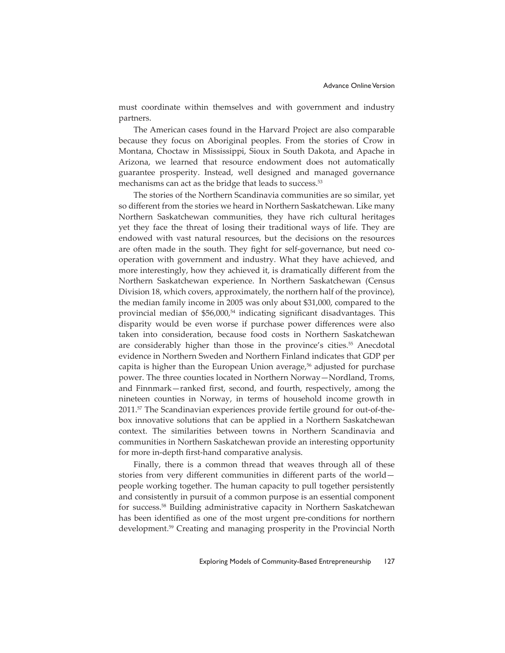must coordinate within themselves and with government and industry partners.

The American cases found in the Harvard Project are also comparable because they focus on Aboriginal peoples. From the stories of Crow in Montana, Choctaw in Mississippi, Sioux in South Dakota, and Apache in Arizona, we learned that resource endowment does not automatically guarantee prosperity. Instead, well designed and managed governance mechanisms can act as the bridge that leads to success.<sup>53</sup>

The stories of the Northern Scandinavia communities are so similar, yet so different from the stories we heard in Northern Saskatchewan. Like many Northern Saskatchewan communities, they have rich cultural heritages yet they face the threat of losing their traditional ways of life. They are endowed with vast natural resources, but the decisions on the resources are often made in the south. They fight for self-governance, but need cooperation with government and industry. What they have achieved, and more interestingly, how they achieved it, is dramatically different from the Northern Saskatchewan experience. In Northern Saskatchewan (Census Division 18, which covers, approximately, the northern half of the province), the median family income in 2005 was only about \$31,000, compared to the provincial median of  $$56,000,^{54}$  indicating significant disadvantages. This disparity would be even worse if purchase power differences were also taken into consideration, because food costs in Northern Saskatchewan are considerably higher than those in the province's cities.55 Anecdotal evidence in Northern Sweden and Northern Finland indicates that GDP per capita is higher than the European Union average,<sup>56</sup> adjusted for purchase power. The three counties located in Northern Norway—Nordland, Troms, and Finnmark—ranked first, second, and fourth, respectively, among the nineteen counties in Norway, in terms of household income growth in 2011.57 The Scandinavian experiences provide fertile ground for out-of-thebox innovative solutions that can be applied in a Northern Saskatchewan context. The similarities between towns in Northern Scandinavia and communities in Northern Saskatchewan provide an interesting opportunity for more in-depth first-hand comparative analysis.

Finally, there is a common thread that weaves through all of these stories from very different communities in different parts of the worldpeople working together. The human capacity to pull together persistently and consistently in pursuit of a common purpose is an essential component for success.58 Building administrative capacity in Northern Saskatchewan has been identified as one of the most urgent pre-conditions for northern development.59 Creating and managing prosperity in the Provincial North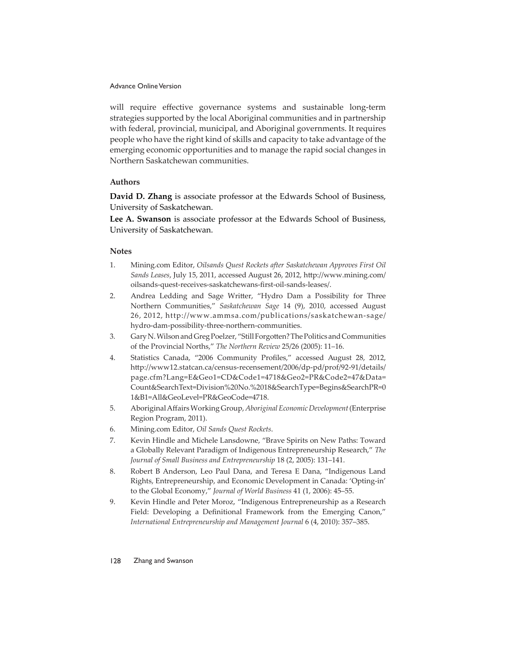will require effective governance systems and sustainable long-term strategies supported by the local Aboriginal communities and in partnership with federal, provincial, municipal, and Aboriginal governments. It requires people who have the right kind of skills and capacity to take advantage of the emerging economic opportunities and to manage the rapid social changes in Northern Saskatchewan communities.

# **Authors**

**David D. Zhang** is associate professor at the Edwards School of Business, University of Saskatchewan.

**Lee A. Swanson** is associate professor at the Edwards School of Business, University of Saskatchewan.

# **Notes**

- 1. Mining.com Editor, *Oilsands Quest Rockets after Saskatchewan Approves First Oil Sands Leases, July 15, 2011, accessed August 26, 2012, http://www.mining.com/* oilsands-quest-receives-saskatchewans-first-oil-sands-leases/.
- 2. Andrea Ledding and Sage Writter, "Hydro Dam a Possibility for Three Northern Communities," *Saskatchewan Sage* 14 (9), 2010, accessed August 26, 2012, http://www.ammsa.com/publications/saskatchewan-sage/ hydro-dam-possibility-three-northern-communities.
- 3. Gary N. Wilson and Greg Poelzer, "Still Forgotten? The Politics and Communities of the Provincial Norths," *The Northern Review* 25/26 (2005): 11–16.
- 4. Statistics Canada, "2006 Community Profiles," accessed August 28, 2012, http://www12.statcan.ca/census-recensement/2006/dp-pd/prof/92-91/details/ page.cfm?Lang=E&Geo1=CD&Code1=4718&Geo2=PR&Code2=47&Data= Count&SearchText=Division%20No.%2018&SearchType=Begins&SearchPR=0 1&B1=All&GeoLevel=PR&GeoCode=4718.
- 5. Aboriginal Affairs Working Group, *Aboriginal Economic Development* (Enterprise Region Program, 2011).
- 6. Mining.com Editor, *Oil Sands Quest Rockets*.
- 7. Kevin Hindle and Michele Lansdowne, "Brave Spirits on New Paths: Toward a Globally Relevant Paradigm of Indigenous Entrepreneurship Research," *The Journal of Small Business and Entrepreneurship* 18 (2, 2005): 131–141.
- 8. Robert B Anderson, Leo Paul Dana, and Teresa E Dana, "Indigenous Land Rights, Entrepreneurship, and Economic Development in Canada: 'Opting-in' to the Global Economy," *Journal of World Business* 41 (1, 2006): 45–55.
- 9. Kevin Hindle and Peter Moroz, "Indigenous Entrepreneurship as a Research Field: Developing a Definitional Framework from the Emerging Canon," *International Entrepreneurship and Management Journal* 6 (4, 2010): 357–385.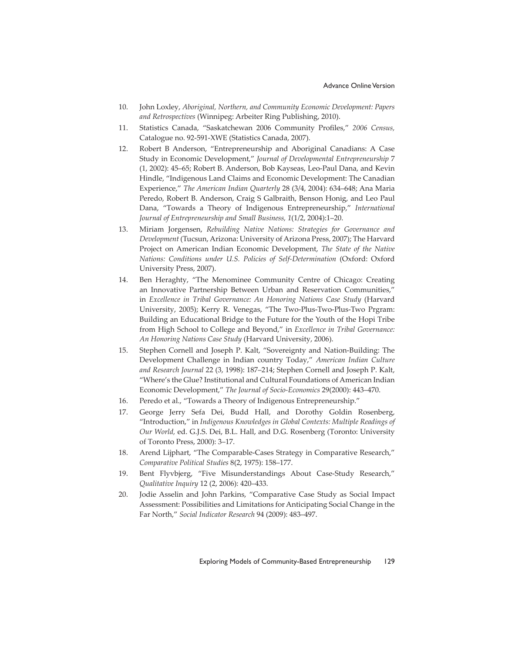- 10. John Loxley, *Aboriginal, Northern, and Community Economic Development: Papers and Retrospectives* (Winnipeg: Arbeiter Ring Publishing, 2010).
- 11. Statistics Canada, "Saskatchewan 2006 Community Profiles," 2006 Census, Catalogue no. 92-591-XWE (Statistics Canada, 2007).
- 12. Robert B Anderson, "Entrepreneurship and Aboriginal Canadians: A Case Study in Economic Development," *Journal of Developmental Entrepreneurship* 7 (1, 2002): 45–65; Robert B. Anderson, Bob Kayseas, Leo-Paul Dana, and Kevin Hindle, "Indigenous Land Claims and Economic Development: The Canadian Experience," *The American Indian Quarterly* 28 (3/4, 2004): 634–648; Ana Maria Peredo, Robert B. Anderson, Craig S Galbraith, Benson Honig, and Leo Paul Dana, "Towards a Theory of Indigenous Entrepreneurship," *International Journal of Entrepreneurship and Small Business, 1*(1/2, 2004):1–20.
- 13. Miriam Jorgensen, *Rebuilding Native Nations: Strategies for Governance and Development* (Tucsun, Arizona: University of Arizona Press, 2007); The Harvard Project on American Indian Economic Development, *The State of the Native Nations: Conditions under U.S. Policies of Self-Determination* (Oxford: Oxford University Press, 2007).
- 14. Ben Heraghty, "The Menominee Community Centre of Chicago: Creating an Innovative Partnership Between Urban and Reservation Communities," in *Excellence in Tribal Governance: An Honoring Nations Case Study* (Harvard University, 2005); Kerry R. Venegas, "The Two-Plus-Two-Plus-Two Prgram: Building an Educational Bridge to the Future for the Youth of the Hopi Tribe from High School to College and Beyond," in *Excellence in Tribal Governance: An Honoring Nations Case Study* (Harvard University, 2006).
- 15. Stephen Cornell and Joseph P. Kalt, "Sovereignty and Nation-Building: The Development Challenge in Indian country Today," *American Indian Culture and Research Journal* 22 (3, 1998): 187–214; Stephen Cornell and Joseph P. Kalt, "Where's the Glue? Institutional and Cultural Foundations of American Indian Economic Development," *The Journal of Socio-Economics* 29(2000): 443–470.
- 16. Peredo et al., "Towards a Theory of Indigenous Entrepreneurship."
- 17. George Jerry Sefa Dei, Budd Hall, and Dorothy Goldin Rosenberg, "Introduction," in *Indigenous Knowledges in Global Contexts: Multiple Readings of Our World,* ed. G.J.S. Dei, B.L. Hall, and D.G. Rosenberg (Toronto: University of Toronto Press, 2000): 3–17.
- 18. Arend Lijphart, "The Comparable-Cases Strategy in Comparative Research," *Comparative Political Studies* 8(2, 1975): 158–177.
- 19. Bent Flyvbjerg, "Five Misunderstandings About Case-Study Research," *Qualitative Inquiry* 12 (2, 2006): 420–433.
- 20. Jodie Asselin and John Parkins, "Comparative Case Study as Social Impact Assessment: Possibilities and Limitations for Anticipating Social Change in the Far North," *Social Indicator Research* 94 (2009): 483–497.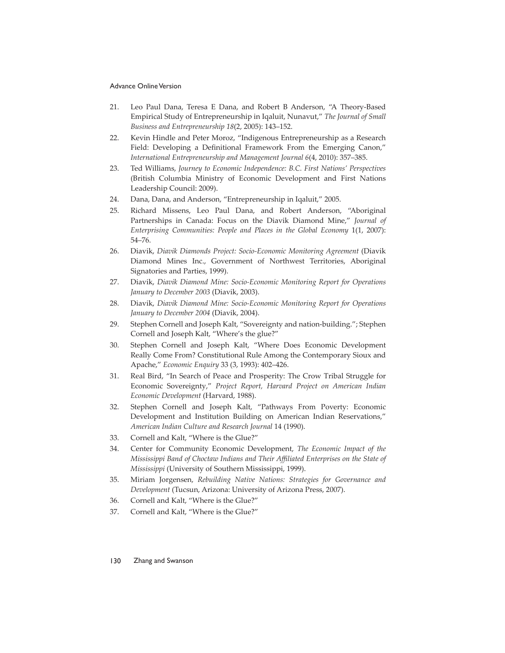- 21. Leo Paul Dana, Teresa E Dana, and Robert B Anderson, "A Theory-Based Empirical Study of Entrepreneurship in Iqaluit, Nunavut," *The Journal of Small Business and Entrepreneurship 18*(2, 2005): 143–152.
- 22. Kevin Hindle and Peter Moroz, "Indigenous Entrepreneurship as a Research Field: Developing a Definitional Framework From the Emerging Canon," *International Entrepreneurship and Management Journal 6*(4, 2010): 357–385.
- 23. Ted Williams, *Journey to Economic Independence: B.C. First Nations' Perspectives* (British Columbia Ministry of Economic Development and First Nations Leadership Council: 2009).
- 24. Dana, Dana, and Anderson, "Entrepreneurship in Iqaluit," 2005.
- 25. Richard Missens, Leo Paul Dana, and Robert Anderson, "Aboriginal Partnerships in Canada: Focus on the Diavik Diamond Mine," *Journal of Enterprising Communities: People and Places in the Global Economy* 1(1, 2007): 54–76.
- 26. Diavik, *Diavik Diamonds Project: Socio-Economic Monitoring Agreement* (Diavik Diamond Mines Inc., Government of Northwest Territories, Aboriginal Signatories and Parties, 1999).
- 27. Diavik, *Diavik Diamond Mine: Socio-Economic Monitoring Report for Operations January to December 2003* (Diavik, 2003).
- 28. Diavik, *Diavik Diamond Mine: Socio-Economic Monitoring Report for Operations January to December 2004* (Diavik, 2004).
- 29. Stephen Cornell and Joseph Kalt, "Sovereignty and nation-building."; Stephen Cornell and Joseph Kalt, "Where's the glue?"
- 30. Stephen Cornell and Joseph Kalt, "Where Does Economic Development Really Come From? Constitutional Rule Among the Contemporary Sioux and Apache," *Economic Enquiry* 33 (3, 1993): 402–426.
- 31. Real Bird, "In Search of Peace and Prosperity: The Crow Tribal Struggle for Economic Sovereignty," *Project Report, Harvard Project on American Indian Economic Development* (Harvard, 1988).
- 32. Stephen Cornell and Joseph Kalt, "Pathways From Poverty: Economic Development and Institution Building on American Indian Reservations," *American Indian Culture and Research Journal* 14 (1990).
- 33. Cornell and Kalt, "Where is the Glue?"
- 34. Center for Community Economic Development, *The Economic Impact of the Mississippi Band of Choctaw Indians and Their Affi liated Enterprises on the State of Mississippi* (University of Southern Mississippi, 1999).
- 35. Miriam Jorgensen, *Rebuilding Native Nations: Strategies for Governance and Development* (Tucsun, Arizona: University of Arizona Press, 2007).
- 36. Cornell and Kalt, "Where is the Glue?"
- 37. Cornell and Kalt, "Where is the Glue?"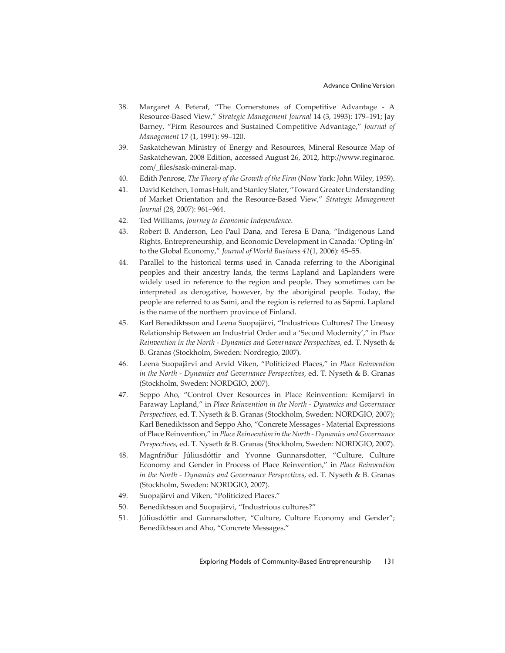- 38. Margaret A Peteraf, "The Cornerstones of Competitive Advantage A Resource-Based View," *Strategic Management Journal* 14 (3, 1993): 179–191; Jay Barney, "Firm Resources and Sustained Competitive Advantage," *Journal of Management* 17 (1, 1991): 99–120.
- 39. Saskatchewan Ministry of Energy and Resources, Mineral Resource Map of Saskatchewan, 2008 Edition, accessed August 26, 2012, http://www.reginaroc. com/\_fi les/sask-mineral-map.
- 40. Edith Penrose, *The Theory of the Growth of the Firm* (Now York: John Wiley, 1959).
- 41. David Ketchen, Tomas Hult, and Stanley Slater, "Toward Greater Understanding of Market Orientation and the Resource-Based View," *Strategic Management Journal* (28, 2007): 961–964.
- 42. Ted Williams, *Journey to Economic Independence*.
- 43. Robert B. Anderson, Leo Paul Dana, and Teresa E Dana, "Indigenous Land Rights, Entrepreneurship, and Economic Development in Canada: 'Opting-In' to the Global Economy," *Journal of World Business 41*(1, 2006): 45–55.
- 44. Parallel to the historical terms used in Canada referring to the Aboriginal peoples and their ancestry lands, the terms Lapland and Laplanders were widely used in reference to the region and people. They sometimes can be interpreted as derogative, however, by the aboriginal people. Today, the people are referred to as Sami, and the region is referred to as Sápmi. Lapland is the name of the northern province of Finland.
- 45. Karl Benediktsson and Leena Suopajärvi, "Industrious Cultures? The Uneasy Relationship Between an Industrial Order and a 'Second Modernity'," in *Place Reinvention in the North - Dynamics and Governance Perspectives*, ed. T. Nyseth & B. Granas (Stockholm, Sweden: Nordregio, 2007).
- 46. Leena Suopajärvi and Arvid Viken, "Politicized Places," in *Place Reinvention in the North - Dynamics and Governance Perspectives*, ed. T. Nyseth & B. Granas (Stockholm, Sweden: NORDGIO, 2007).
- 47. Seppo Aho, "Control Over Resources in Place Reinvention: Kemijarvi in Faraway Lapland," in *Place Reinvention in the North - Dynamics and Governance Perspectives*, ed. T. Nyseth & B. Granas (Stockholm, Sweden: NORDGIO, 2007); Karl Benediktsson and Seppo Aho, "Concrete Messages - Material Expressions of Place Reinvention," in *Place Reinvention in the North - Dynamics and Governance Perspectives*, ed. T. Nyseth & B. Granas (Stockholm, Sweden: NORDGIO, 2007).
- 48. Magnfriður Júliusdóttir and Yvonne Gunnarsdotter, "Culture, Culture Economy and Gender in Process of Place Reinvention," in *Place Reinvention in the North - Dynamics and Governance Perspectives*, ed. T. Nyseth & B. Granas (Stockholm, Sweden: NORDGIO, 2007).
- 49. Suopajärvi and Viken, "Politicized Places."
- 50. Benediktsson and Suopajärvi, "Industrious cultures?"
- 51. Júliusdóttir and Gunnarsdotter, "Culture, Culture Economy and Gender"; Benediktsson and Aho, "Concrete Messages."